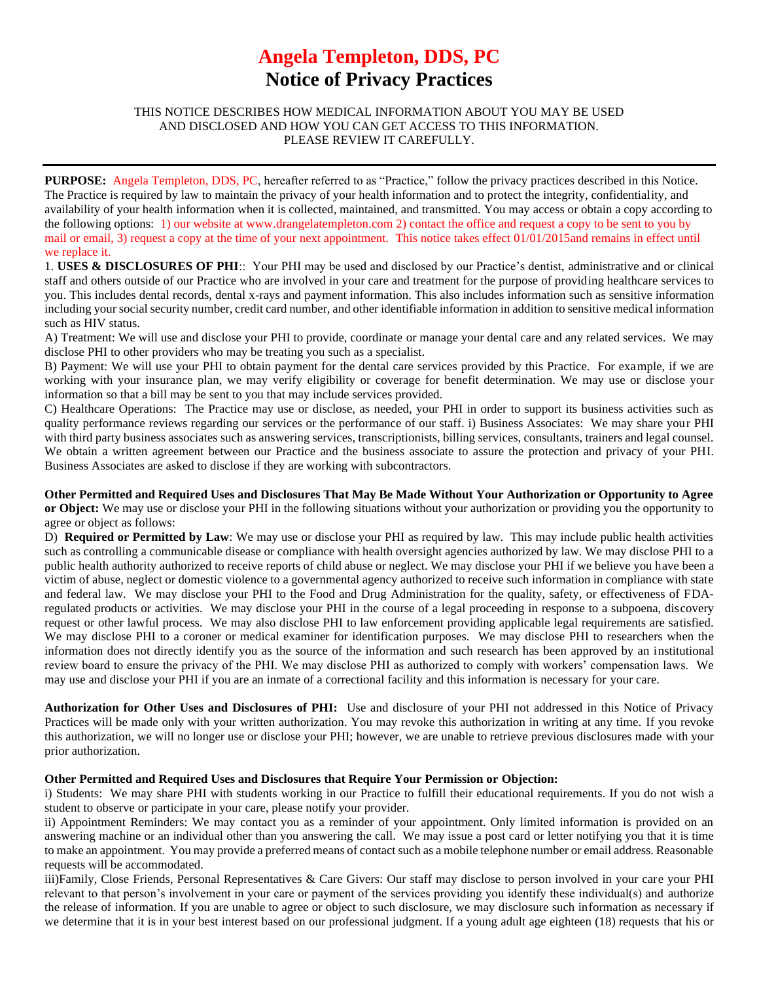## **Angela Templeton, DDS, PC Notice of Privacy Practices**

## THIS NOTICE DESCRIBES HOW MEDICAL INFORMATION ABOUT YOU MAY BE USED AND DISCLOSED AND HOW YOU CAN GET ACCESS TO THIS INFORMATION. PLEASE REVIEW IT CAREFULLY.

**PURPOSE:** Angela Templeton, DDS, PC, hereafter referred to as "Practice," follow the privacy practices described in this Notice. The Practice is required by law to maintain the privacy of your health information and to protect the integrity, confidentiality, and availability of your health information when it is collected, maintained, and transmitted. You may access or obtain a copy according to the following options: 1) our website at www.drangelatempleton.com 2) contact the office and request a copy to be sent to you by mail or email, 3) request a copy at the time of your next appointment. This notice takes effect 01/01/2015and remains in effect until we replace it.

1. **USES & DISCLOSURES OF PHI**:: Your PHI may be used and disclosed by our Practice's dentist, administrative and or clinical staff and others outside of our Practice who are involved in your care and treatment for the purpose of providing healthcare services to you. This includes dental records, dental x-rays and payment information. This also includes information such as sensitive information including your social security number, credit card number, and other identifiable information in addition to sensitive medical information such as HIV status.

A) Treatment: We will use and disclose your PHI to provide, coordinate or manage your dental care and any related services. We may disclose PHI to other providers who may be treating you such as a specialist.

B) Payment: We will use your PHI to obtain payment for the dental care services provided by this Practice. For example, if we are working with your insurance plan, we may verify eligibility or coverage for benefit determination. We may use or disclose your information so that a bill may be sent to you that may include services provided.

C) Healthcare Operations: The Practice may use or disclose, as needed, your PHI in order to support its business activities such as quality performance reviews regarding our services or the performance of our staff. i) Business Associates: We may share your PHI with third party business associates such as answering services, transcriptionists, billing services, consultants, trainers and legal counsel. We obtain a written agreement between our Practice and the business associate to assure the protection and privacy of your PHI. Business Associates are asked to disclose if they are working with subcontractors.

**Other Permitted and Required Uses and Disclosures That May Be Made Without Your Authorization or Opportunity to Agree or Object:** We may use or disclose your PHI in the following situations without your authorization or providing you the opportunity to agree or object as follows:

D) **Required or Permitted by Law**: We may use or disclose your PHI as required by law. This may include public health activities such as controlling a communicable disease or compliance with health oversight agencies authorized by law. We may disclose PHI to a public health authority authorized to receive reports of child abuse or neglect. We may disclose your PHI if we believe you have been a victim of abuse, neglect or domestic violence to a governmental agency authorized to receive such information in compliance with state and federal law. We may disclose your PHI to the Food and Drug Administration for the quality, safety, or effectiveness of FDAregulated products or activities. We may disclose your PHI in the course of a legal proceeding in response to a subpoena, discovery request or other lawful process. We may also disclose PHI to law enforcement providing applicable legal requirements are satisfied. We may disclose PHI to a coroner or medical examiner for identification purposes. We may disclose PHI to researchers when the information does not directly identify you as the source of the information and such research has been approved by an institutional review board to ensure the privacy of the PHI. We may disclose PHI as authorized to comply with workers' compensation laws. We may use and disclose your PHI if you are an inmate of a correctional facility and this information is necessary for your care.

**Authorization for Other Uses and Disclosures of PHI:** Use and disclosure of your PHI not addressed in this Notice of Privacy Practices will be made only with your written authorization. You may revoke this authorization in writing at any time. If you revoke this authorization, we will no longer use or disclose your PHI; however, we are unable to retrieve previous disclosures made with your prior authorization.

## **Other Permitted and Required Uses and Disclosures that Require Your Permission or Objection:**

i) Students: We may share PHI with students working in our Practice to fulfill their educational requirements. If you do not wish a student to observe or participate in your care, please notify your provider.

ii) Appointment Reminders: We may contact you as a reminder of your appointment. Only limited information is provided on an answering machine or an individual other than you answering the call. We may issue a post card or letter notifying you that it is time to make an appointment. You may provide a preferred means of contact such as a mobile telephone number or email address. Reasonable requests will be accommodated.

iii)Family, Close Friends, Personal Representatives & Care Givers: Our staff may disclose to person involved in your care your PHI relevant to that person's involvement in your care or payment of the services providing you identify these individual(s) and authorize the release of information. If you are unable to agree or object to such disclosure, we may disclosure such information as necessary if we determine that it is in your best interest based on our professional judgment. If a young adult age eighteen (18) requests that his or